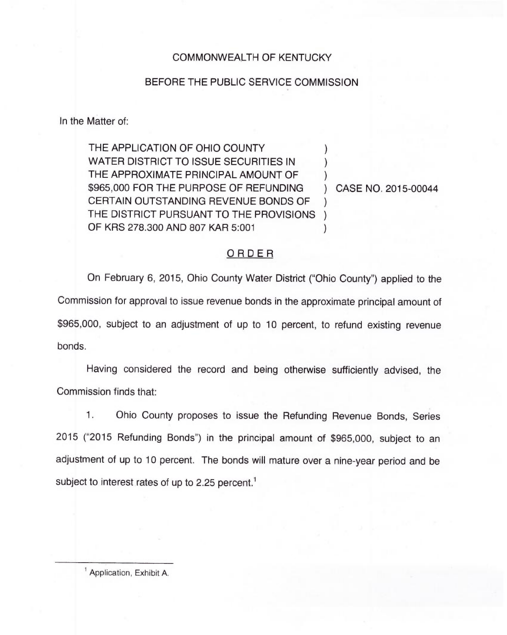## COMMONWEALTH OF KENTUCKY

#### BEFORE THE PUBLIC SERVICE COMMISSION

In the Matter of:

THE APPLICATION OF OHIO COUNTY WATER DISTRICT TO ISSUE SECURITIES IN THE APPROXIMATE PRINCIPAL AMOUNT OF \$965,000 FOR THE PURPOSE OF REFUNDING CERTAIN OUTSTANDING REVENUE BONDS OF THE DISTRICT PURSUANT TO THE PROVISIONS ) OF KRS 278.300 AND 807 KAR 5:001 ) )  $\overline{\phantom{a}}$ ) )

) CASE NO. 2015-00044

### ORDER

On February 6, 2015, Ohio County Water District ("Ohio County" ) applied to the Commission for approval to issue revenue bonds in the approximate principal amount of \$965,000, subject to an adjustment of up to 10 percent, to refund existing revenue bonds.

Having considered the record and being otherwise sufficiently advised, the Commission finds that:

1. Ohio County proposes to issue the Refunding Revenue Bonds, Series 2015 ("2015 Refunding Bonds") in the principal amount of \$965,000, subject to ar adjustment of up to 10 percent. The bonds will mature over a nine-year period and be subject to interest rates of up to 2.25 percent.<sup>1</sup>

Application, Exhibit A.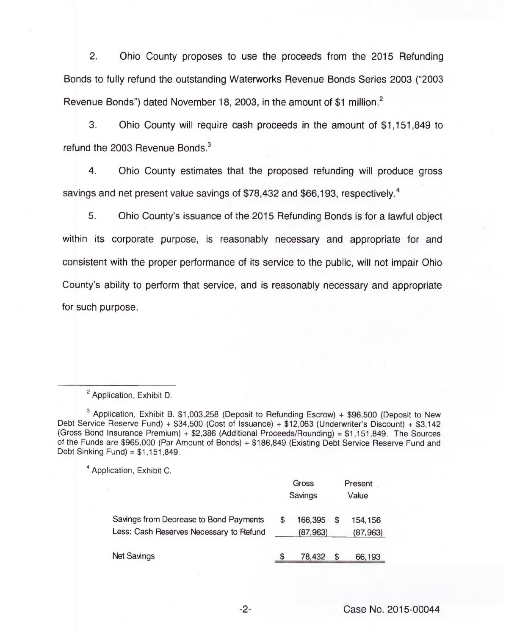2. Ohio County proposes to use the proceeds from the 2015 Refunding Bonds to fully refund the outstanding Waterworks Revenue Bonds Series 2003 ("2003 Revenue Bonds") dated November 18, 2003, in the amount of \$1 million.<sup>2</sup>

3. Ohio County will require cash proceeds in the amount of \$1,151,849 to refund the 2003 Revenue Bonds.<sup>3</sup>

 $\overline{4}$ . Ohio County estimates that the proposed refunding will produce gross savings and net present value savings of \$78,432 and \$66,193, respectively.<sup>4</sup>

5. Ohio County's issuance of the 2015 Refunding Bonds is for a lawful object within its corporate purpose, is reasonably necessary and appropriate for and consistent with the proper performance of its service to the public, will not impair Ohio County's ability to perform that service, and is reasonably necessary and appropriate for such purpose.

<sup>4</sup> Application, Exhibit C.

|                                                                                   |  | Gross<br>Savings    |  | Present<br>Value    |  |
|-----------------------------------------------------------------------------------|--|---------------------|--|---------------------|--|
| Savings from Decrease to Bond Payments<br>Less: Cash Reserves Necessary to Refund |  | 166,395<br>(87,963) |  | 154,156<br>(87,963) |  |
| <b>Net Savings</b>                                                                |  | 78,432              |  | 66,193              |  |

 $-2-$ 

<sup>&</sup>lt;sup>2</sup> Application, Exhibit D.

<sup>&</sup>lt;sup>3</sup> Application, Exhibit B. \$1,003,258 (Deposit to Refunding Escrow) + \$96,500 (Deposit to New Debt Service Reserve Fund) <sup>+</sup> \$34,500 (Cost of Issuance) + \$12,063 (Underwriter's Discount) + \$3,142 (Gross Bond Insurance Premium) + \$2,386 (Additional Proceeds/Rounding) <sup>=</sup> \$1,151,849. The Sources of the Funds are \$965,000 (Par Amount of Bonds) + \$186,849 (Existing Debt Service Reserve Fund and Debt Sinking Fund) = \$1,151,849.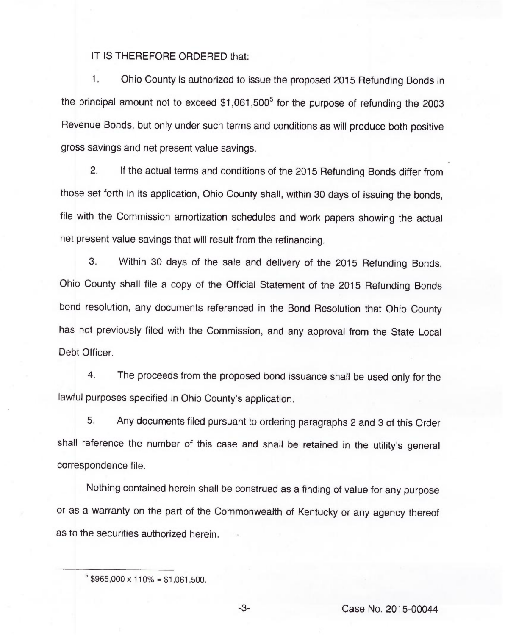### IT IS THEREFORE ORDERED that:

 $1.$ Ohio County is authorized to issue the proposed 2015 Refunding Bonds in the principal amount not to exceed  $$1,061,500^5$  for the purpose of refunding the 2003 Revenue Bonds, but only under such terms and conditions as will produce both positive gross savings and net present value savings.

2. If the actual terms and conditions of the 2015 Refunding Bonds differ from those set forth in its application, Ohio County shall, within 30 days of issuing the bonds, file with the Commission amortization schedules and work papers showing the actual net present value savings that will result from the refinancing.

3. Within 30 days of the sale and delivery of the 2015 Refunding Bonds, Ohio County shall file a copy of the Official Statement of the 2015 Refunding Bonds bond resolution, any documents referenced in the Bond Resolution that Ohio County has not previously filed with the Commission, and any approval from the State Local Debt Officer.

4. The proceeds from the proposed bond issuance shall be used only for the lawful purposes specified in Ohio County's application.

5. Any documents filed pursuant to ordering paragraphs 2 and 3 of this Order shall reference the number of this case and shall be retained in the utility's general correspondence file.

Nothing contained herein shall be construed as a finding of value for any purpose or as a warranty on the part of the Commonwealth of Kentucky or any agency thereof as to the securities authorized herein.

-3- Case No. 2015-00044

 $5$  \$965,000 x 110% = \$1,061,500.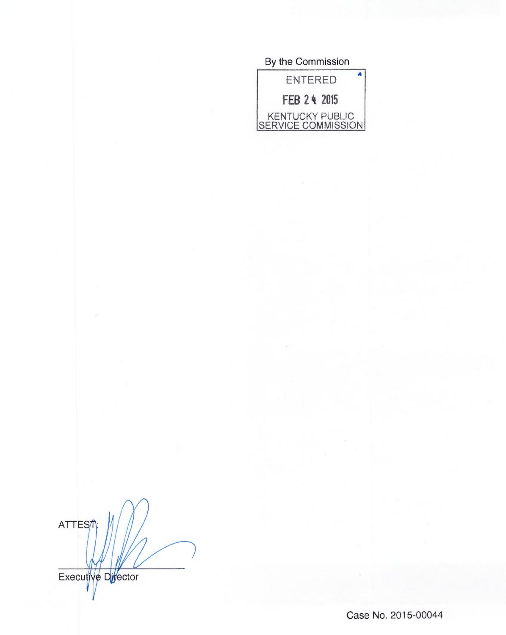# By the Commission A ENTERED FEB 2 4 2015 KENTUCKY PUBLIC <u>SERVICE COMMISSION</u>

**ATTES** 

Executive Divector

Case No. 2015-00044